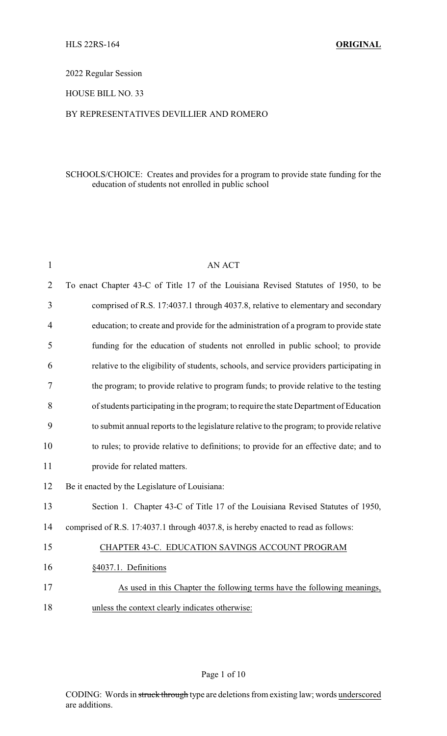# 2022 Regular Session

### HOUSE BILL NO. 33

### BY REPRESENTATIVES DEVILLIER AND ROMERO

### SCHOOLS/CHOICE: Creates and provides for a program to provide state funding for the education of students not enrolled in public school

| $\mathbf{1}$   | <b>AN ACT</b>                                                                            |
|----------------|------------------------------------------------------------------------------------------|
| $\overline{2}$ | To enact Chapter 43-C of Title 17 of the Louisiana Revised Statutes of 1950, to be       |
| 3              | comprised of R.S. 17:4037.1 through 4037.8, relative to elementary and secondary         |
| 4              | education; to create and provide for the administration of a program to provide state    |
| 5              | funding for the education of students not enrolled in public school; to provide          |
| 6              | relative to the eligibility of students, schools, and service providers participating in |
| 7              | the program; to provide relative to program funds; to provide relative to the testing    |
| 8              | of students participating in the program; to require the state Department of Education   |
| 9              | to submit annual reports to the legislature relative to the program; to provide relative |
| 10             | to rules; to provide relative to definitions; to provide for an effective date; and to   |
| 11             | provide for related matters.                                                             |
| 12             | Be it enacted by the Legislature of Louisiana:                                           |
| 13             | Section 1. Chapter 43-C of Title 17 of the Louisiana Revised Statutes of 1950,           |
| 14             | comprised of R.S. 17:4037.1 through 4037.8, is hereby enacted to read as follows:        |
| 15             | CHAPTER 43-C. EDUCATION SAVINGS ACCOUNT PROGRAM                                          |
| 16             | §4037.1. Definitions                                                                     |
| 17             | As used in this Chapter the following terms have the following meanings,                 |
| 18             | unless the context clearly indicates otherwise:                                          |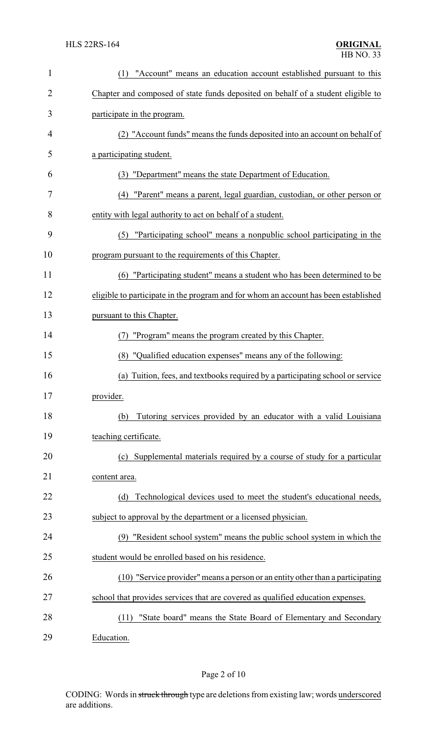| $\mathbf{1}$   | "Account" means an education account established pursuant to this<br>(1)            |
|----------------|-------------------------------------------------------------------------------------|
| $\overline{c}$ | Chapter and composed of state funds deposited on behalf of a student eligible to    |
| 3              | participate in the program.                                                         |
| 4              | (2) "Account funds" means the funds deposited into an account on behalf of          |
| 5              | a participating student.                                                            |
| 6              | (3) "Department" means the state Department of Education.                           |
| 7              | (4) "Parent" means a parent, legal guardian, custodian, or other person or          |
| 8              | entity with legal authority to act on behalf of a student.                          |
| 9              | "Participating school" means a nonpublic school participating in the<br>(5)         |
| 10             | program pursuant to the requirements of this Chapter.                               |
| 11             | (6) "Participating student" means a student who has been determined to be           |
| 12             | eligible to participate in the program and for whom an account has been established |
| 13             | pursuant to this Chapter.                                                           |
| 14             | (7) "Program" means the program created by this Chapter.                            |
| 15             | (8) "Qualified education expenses" means any of the following:                      |
| 16             | (a) Tuition, fees, and textbooks required by a participating school or service      |
| 17             | provider.                                                                           |
| 18             | Tutoring services provided by an educator with a valid Louisiana<br>(b)             |
| 19             | teaching certificate.                                                               |
| 20             | (c) Supplemental materials required by a course of study for a particular           |
| 21             | content area.                                                                       |
| 22             | Technological devices used to meet the student's educational needs,<br>(d)          |
| 23             | subject to approval by the department or a licensed physician.                      |
| 24             | (9) "Resident school system" means the public school system in which the            |
| 25             | student would be enrolled based on his residence.                                   |
| 26             | (10) "Service provider" means a person or an entity other than a participating      |
| 27             | school that provides services that are covered as qualified education expenses.     |
| 28             | "State board" means the State Board of Elementary and Secondary<br>(11)             |
| 29             | Education.                                                                          |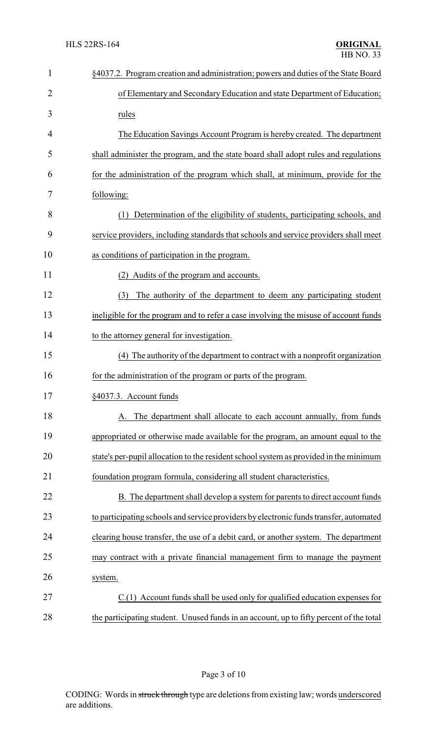| 1              | §4037.2. Program creation and administration; powers and duties of the State Board      |
|----------------|-----------------------------------------------------------------------------------------|
| $\overline{2}$ | of Elementary and Secondary Education and state Department of Education;                |
| 3              | rules                                                                                   |
| 4              | The Education Savings Account Program is hereby created. The department                 |
| 5              | shall administer the program, and the state board shall adopt rules and regulations     |
| 6              | for the administration of the program which shall, at minimum, provide for the          |
| 7              | following:                                                                              |
| 8              | Determination of the eligibility of students, participating schools, and<br>(1)         |
| 9              | service providers, including standards that schools and service providers shall meet    |
| 10             | as conditions of participation in the program.                                          |
| 11             | (2) Audits of the program and accounts.                                                 |
| 12             | The authority of the department to deem any participating student<br>(3)                |
| 13             | ineligible for the program and to refer a case involving the misuse of account funds    |
| 14             | to the attorney general for investigation.                                              |
| 15             | (4) The authority of the department to contract with a nonprofit organization           |
| 16             | for the administration of the program or parts of the program.                          |
| 17             | §4037.3. Account funds                                                                  |
| 18             | A. The department shall allocate to each account annually, from funds                   |
| 19             | appropriated or otherwise made available for the program, an amount equal to the        |
| 20             | state's per-pupil allocation to the resident school system as provided in the minimum   |
| 21             | foundation program formula, considering all student characteristics.                    |
| 22             | B. The department shall develop a system for parents to direct account funds            |
| 23             | to participating schools and service providers by electronic funds transfer, automated  |
| 24             | clearing house transfer, the use of a debit card, or another system. The department     |
| 25             | may contract with a private financial management firm to manage the payment             |
| 26             | system.                                                                                 |
| 27             | C.(1) Account funds shall be used only for qualified education expenses for             |
| 28             | the participating student. Unused funds in an account, up to fifty percent of the total |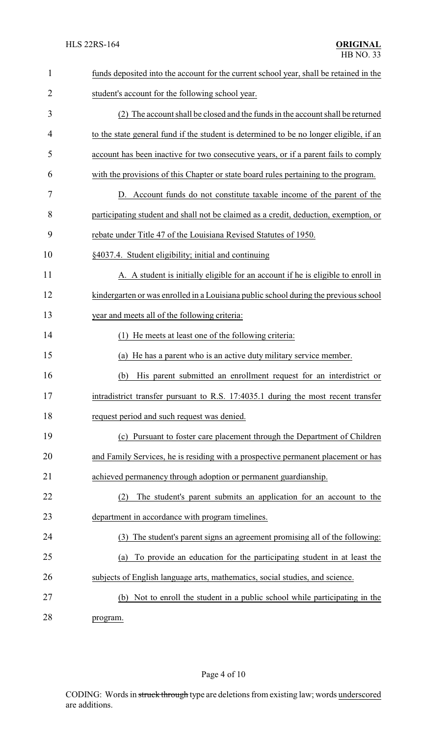| $\mathbf{1}$  | funds deposited into the account for the current school year, shall be retained in the |
|---------------|----------------------------------------------------------------------------------------|
| 2             | student's account for the following school year.                                       |
| 3             | (2) The account shall be closed and the funds in the account shall be returned         |
| 4             | to the state general fund if the student is determined to be no longer eligible, if an |
| 5             | account has been inactive for two consecutive years, or if a parent fails to comply    |
| 6             | with the provisions of this Chapter or state board rules pertaining to the program.    |
| 7             | D. Account funds do not constitute taxable income of the parent of the                 |
| 8             | participating student and shall not be claimed as a credit, deduction, exemption, or   |
| 9             | rebate under Title 47 of the Louisiana Revised Statutes of 1950.                       |
| 10            | §4037.4. Student eligibility; initial and continuing                                   |
| 11            | A. A student is initially eligible for an account if he is eligible to enroll in       |
| 12            | kindergarten or was enrolled in a Louisiana public school during the previous school   |
| 13            | year and meets all of the following criteria:                                          |
| 14            | (1) He meets at least one of the following criteria:                                   |
| 15            | (a) He has a parent who is an active duty military service member.                     |
| 16            | His parent submitted an enrollment request for an interdistrict or<br>(b)              |
| 17            | intradistrict transfer pursuant to R.S. 17:4035.1 during the most recent transfer      |
| 18            | request period and such request was denied.                                            |
| 19            | (c) Pursuant to foster care placement through the Department of Children               |
| 20            | and Family Services, he is residing with a prospective permanent placement or has      |
| 21            | achieved permanency through adoption or permanent guardianship.                        |
| 22            | The student's parent submits an application for an account to the<br>(2)               |
| 23            | department in accordance with program timelines.                                       |
| 24            | The student's parent signs an agreement promising all of the following:<br>(3)         |
| 25            | To provide an education for the participating student in at least the<br>(a)           |
| 26            | subjects of English language arts, mathematics, social studies, and science.           |
| 27            | (b) Not to enroll the student in a public school while participating in the            |
| $\sim$ $\sim$ |                                                                                        |

28 program.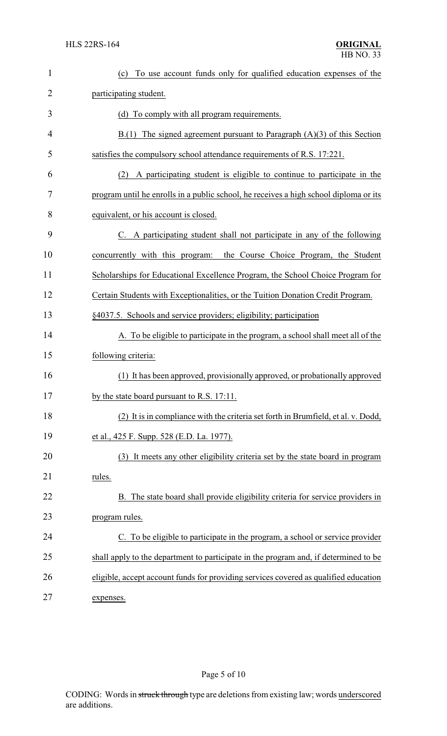| $\mathbf{1}$   | To use account funds only for qualified education expenses of the<br>(c)              |
|----------------|---------------------------------------------------------------------------------------|
| $\overline{2}$ | participating student.                                                                |
| 3              | (d) To comply with all program requirements.                                          |
| 4              | $B(1)$ The signed agreement pursuant to Paragraph $(A)(3)$ of this Section            |
| 5              | satisfies the compulsory school attendance requirements of R.S. 17:221.               |
| 6              | A participating student is eligible to continue to participate in the<br>(2)          |
| 7              | program until he enrolls in a public school, he receives a high school diploma or its |
| 8              | equivalent, or his account is closed.                                                 |
| 9              | C. A participating student shall not participate in any of the following              |
| 10             | concurrently with this program:<br>the Course Choice Program, the Student             |
| 11             | Scholarships for Educational Excellence Program, the School Choice Program for        |
| 12             | Certain Students with Exceptionalities, or the Tuition Donation Credit Program.       |
| 13             | §4037.5. Schools and service providers; eligibility; participation                    |
| 14             | A. To be eligible to participate in the program, a school shall meet all of the       |
| 15             | following criteria:                                                                   |
| 16             | (1) It has been approved, provisionally approved, or probationally approved           |
| 17             | by the state board pursuant to R.S. 17:11.                                            |
| 18             | (2) It is in compliance with the criteria set forth in Brumfield, et al. v. Dodd,     |
| 19             | et al., 425 F. Supp. 528 (E.D. La. 1977).                                             |
| 20             | (3) It meets any other eligibility criteria set by the state board in program         |
| 21             | rules.                                                                                |
| 22             | B. The state board shall provide eligibility criteria for service providers in        |
| 23             | program rules.                                                                        |
| 24             | C. To be eligible to participate in the program, a school or service provider         |
| 25             | shall apply to the department to participate in the program and, if determined to be  |
| 26             | eligible, accept account funds for providing services covered as qualified education  |
| 27             | expenses.                                                                             |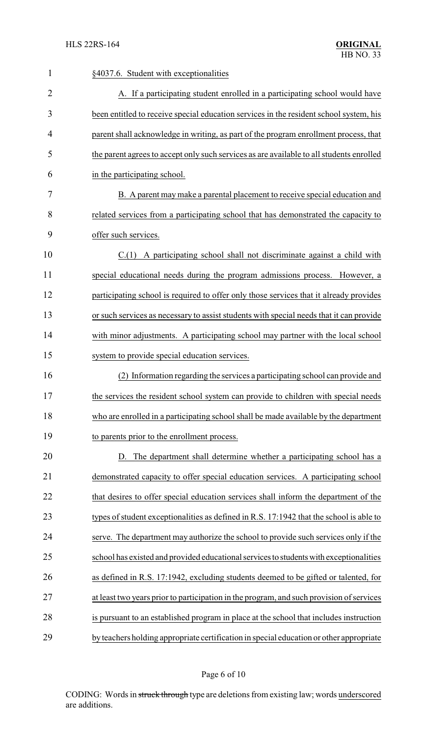| 1              | §4037.6. Student with exceptionalities                                                   |
|----------------|------------------------------------------------------------------------------------------|
| $\overline{2}$ | A. If a participating student enrolled in a participating school would have              |
| 3              | been entitled to receive special education services in the resident school system, his   |
| 4              | parent shall acknowledge in writing, as part of the program enrollment process, that     |
| 5              | the parent agrees to accept only such services as are available to all students enrolled |
| 6              | in the participating school.                                                             |
| 7              | B. A parent may make a parental placement to receive special education and               |
| 8              | related services from a participating school that has demonstrated the capacity to       |
| 9              | offer such services.                                                                     |
| 10             | $C(1)$ A participating school shall not discriminate against a child with                |
| 11             | special educational needs during the program admissions process. However, a              |
| 12             | participating school is required to offer only those services that it already provides   |
| 13             | or such services as necessary to assist students with special needs that it can provide  |
| 14             | with minor adjustments. A participating school may partner with the local school         |
| 15             | system to provide special education services.                                            |
| 16             | (2) Information regarding the services a participating school can provide and            |
| 17             | the services the resident school system can provide to children with special needs       |
| 18             | who are enrolled in a participating school shall be made available by the department     |
| 19             | to parents prior to the enrollment process.                                              |
| 20             | D. The department shall determine whether a participating school has a                   |
| 21             | demonstrated capacity to offer special education services. A participating school        |
| 22             | that desires to offer special education services shall inform the department of the      |
| 23             | types of student exceptionalities as defined in R.S. 17:1942 that the school is able to  |
| 24             | serve. The department may authorize the school to provide such services only if the      |
| 25             | school has existed and provided educational services to students with exceptionalities   |
| 26             | as defined in R.S. 17:1942, excluding students deemed to be gifted or talented, for      |
| 27             | at least two years prior to participation in the program, and such provision of services |
| 28             | is pursuant to an established program in place at the school that includes instruction   |
| 29             | by teachers holding appropriate certification in special education or other appropriate  |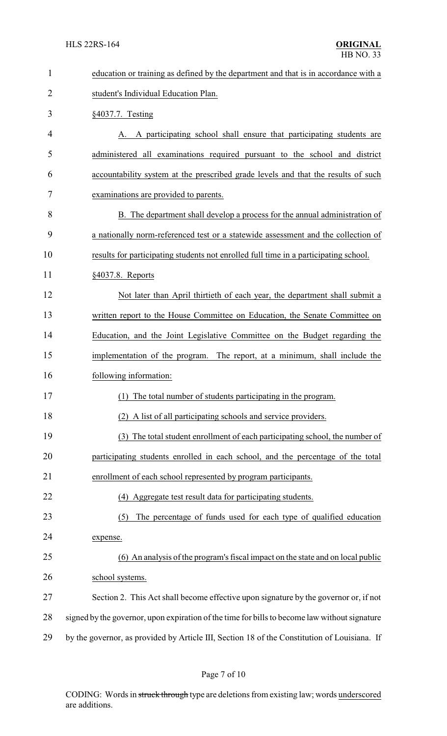| $\mathbf{1}$   | education or training as defined by the department and that is in accordance with a           |
|----------------|-----------------------------------------------------------------------------------------------|
| $\overline{2}$ | student's Individual Education Plan.                                                          |
| 3              | §4037.7. Testing                                                                              |
| 4              | A participating school shall ensure that participating students are                           |
| 5              | administered all examinations required pursuant to the school and district                    |
| 6              | accountability system at the prescribed grade levels and that the results of such             |
| 7              | examinations are provided to parents.                                                         |
| 8              | B. The department shall develop a process for the annual administration of                    |
| 9              | a nationally norm-referenced test or a statewide assessment and the collection of             |
| 10             | results for participating students not enrolled full time in a participating school.          |
| 11             | §4037.8. Reports                                                                              |
| 12             | Not later than April thirtieth of each year, the department shall submit a                    |
| 13             | written report to the House Committee on Education, the Senate Committee on                   |
| 14             | Education, and the Joint Legislative Committee on the Budget regarding the                    |
| 15             | implementation of the program. The report, at a minimum, shall include the                    |
| 16             | following information:                                                                        |
| 17             | (1) The total number of students participating in the program                                 |
| 18             | (2) A list of all participating schools and service providers.                                |
| 19             | (3) The total student enrollment of each participating school, the number of                  |
| 20             | participating students enrolled in each school, and the percentage of the total               |
| 21             | enrollment of each school represented by program participants.                                |
| 22             | (4) Aggregate test result data for participating students.                                    |
| 23             | The percentage of funds used for each type of qualified education<br>(5)                      |
| 24             | expense.                                                                                      |
| 25             | (6) An analysis of the program's fiscal impact on the state and on local public               |
| 26             | school systems.                                                                               |
| 27             | Section 2. This Act shall become effective upon signature by the governor or, if not          |
| 28             | signed by the governor, upon expiration of the time for bills to become law without signature |
| 29             | by the governor, as provided by Article III, Section 18 of the Constitution of Louisiana. If  |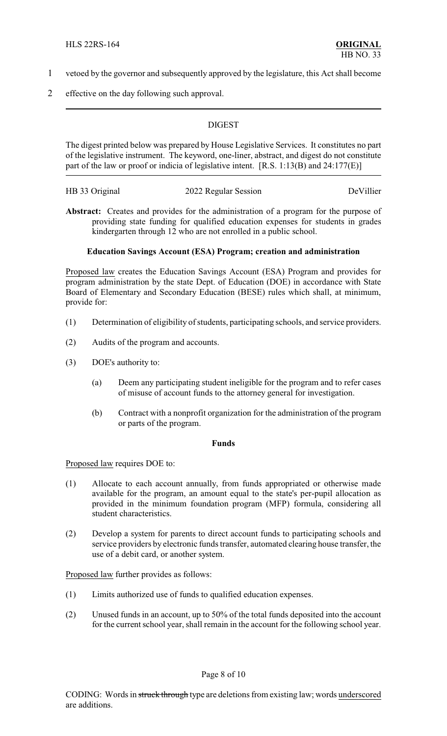- 1 vetoed by the governor and subsequently approved by the legislature, this Act shall become
- 2 effective on the day following such approval.

### **DIGEST**

The digest printed below was prepared by House Legislative Services. It constitutes no part of the legislative instrument. The keyword, one-liner, abstract, and digest do not constitute part of the law or proof or indicia of legislative intent. [R.S. 1:13(B) and 24:177(E)]

| HB 33 Original | 2022 Regular Session | DeVillier |
|----------------|----------------------|-----------|
|----------------|----------------------|-----------|

Abstract: Creates and provides for the administration of a program for the purpose of providing state funding for qualified education expenses for students in grades kindergarten through 12 who are not enrolled in a public school.

# **Education Savings Account (ESA) Program; creation and administration**

Proposed law creates the Education Savings Account (ESA) Program and provides for program administration by the state Dept. of Education (DOE) in accordance with State Board of Elementary and Secondary Education (BESE) rules which shall, at minimum, provide for:

- (1) Determination of eligibility of students, participating schools, and service providers.
- (2) Audits of the program and accounts.
- (3) DOE's authority to:
	- (a) Deem any participating student ineligible for the program and to refer cases of misuse of account funds to the attorney general for investigation.
	- (b) Contract with a nonprofit organization for the administration of the program or parts of the program.

### **Funds**

Proposed law requires DOE to:

- (1) Allocate to each account annually, from funds appropriated or otherwise made available for the program, an amount equal to the state's per-pupil allocation as provided in the minimum foundation program (MFP) formula, considering all student characteristics.
- (2) Develop a system for parents to direct account funds to participating schools and service providers by electronic funds transfer, automated clearing house transfer, the use of a debit card, or another system.

Proposed law further provides as follows:

- (1) Limits authorized use of funds to qualified education expenses.
- (2) Unused funds in an account, up to 50% of the total funds deposited into the account for the current school year, shall remain in the account for the following school year.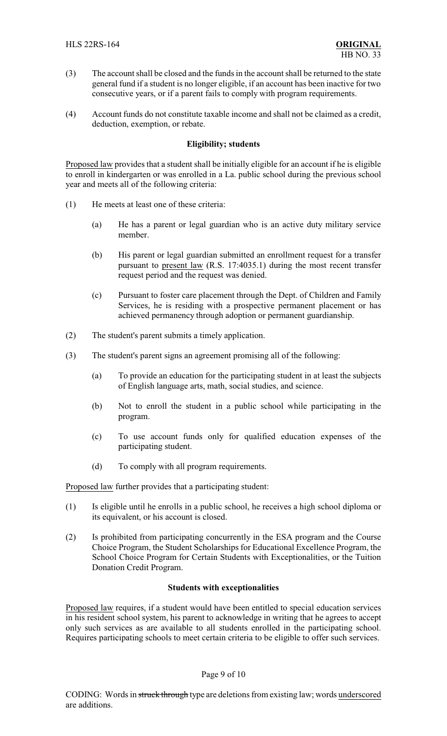- (3) The account shall be closed and the funds in the account shall be returned to the state general fund if a student is no longer eligible, if an account has been inactive for two consecutive years, or if a parent fails to comply with program requirements.
- (4) Account funds do not constitute taxable income and shall not be claimed as a credit, deduction, exemption, or rebate.

### **Eligibility; students**

Proposed law provides that a student shall be initially eligible for an account if he is eligible to enroll in kindergarten or was enrolled in a La. public school during the previous school year and meets all of the following criteria:

- (1) He meets at least one of these criteria:
	- (a) He has a parent or legal guardian who is an active duty military service member.
	- (b) His parent or legal guardian submitted an enrollment request for a transfer pursuant to present law (R.S. 17:4035.1) during the most recent transfer request period and the request was denied.
	- (c) Pursuant to foster care placement through the Dept. of Children and Family Services, he is residing with a prospective permanent placement or has achieved permanency through adoption or permanent guardianship.
- (2) The student's parent submits a timely application.
- (3) The student's parent signs an agreement promising all of the following:
	- (a) To provide an education for the participating student in at least the subjects of English language arts, math, social studies, and science.
	- (b) Not to enroll the student in a public school while participating in the program.
	- (c) To use account funds only for qualified education expenses of the participating student.
	- (d) To comply with all program requirements.

Proposed law further provides that a participating student:

- (1) Is eligible until he enrolls in a public school, he receives a high school diploma or its equivalent, or his account is closed.
- (2) Is prohibited from participating concurrently in the ESA program and the Course Choice Program, the Student Scholarships for Educational Excellence Program, the School Choice Program for Certain Students with Exceptionalities, or the Tuition Donation Credit Program.

### **Students with exceptionalities**

Proposed law requires, if a student would have been entitled to special education services in his resident school system, his parent to acknowledge in writing that he agrees to accept only such services as are available to all students enrolled in the participating school. Requires participating schools to meet certain criteria to be eligible to offer such services.

### Page 9 of 10